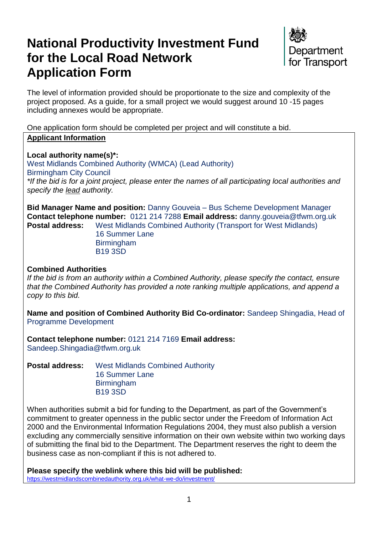# **National Productivity Investment Fund for the Local Road Network Application Form**



The level of information provided should be proportionate to the size and complexity of the project proposed. As a guide, for a small project we would suggest around 10 -15 pages including annexes would be appropriate.

One application form should be completed per project and will constitute a bid. **Applicant Information**

**Local authority name(s)\*:**  West Midlands Combined Authority (WMCA) (Lead Authority) Birmingham City Council *\*If the bid is for a joint project, please enter the names of all participating local authorities and specify the lead authority.*

**Bid Manager Name and position:** Danny Gouveia – Bus Scheme Development Manager **Contact telephone number:** 0121 214 7288 **Email address:** danny.gouveia@tfwm.org.uk **Postal address:** West Midlands Combined Authority (Transport for West Midlands)

> 16 Summer Lane **Birmingham** B19 3SD

#### **Combined Authorities**

*If the bid is from an authority within a Combined Authority, please specify the contact, ensure that the Combined Authority has provided a note ranking multiple applications, and append a copy to this bid.*

**Name and position of Combined Authority Bid Co-ordinator:** Sandeep Shingadia, Head of Programme Development

**Contact telephone number:** 0121 214 7169 **Email address:**  [Sandeep.Shingadia@tfwm.org.uk](mailto:Sandeep.Shingadia@tfwm.org.uk)

**Postal address:** West Midlands Combined Authority 16 Summer Lane Birmingham B19 3SD

When authorities submit a bid for funding to the Department, as part of the Government's commitment to greater openness in the public sector under the Freedom of Information Act 2000 and the Environmental Information Regulations 2004, they must also publish a version excluding any commercially sensitive information on their own website within two working days of submitting the final bid to the Department. The Department reserves the right to deem the business case as non-compliant if this is not adhered to.

**Please specify the weblink where this bid will be published:**  <https://westmidlandscombinedauthority.org.uk/what-we-do/investment/>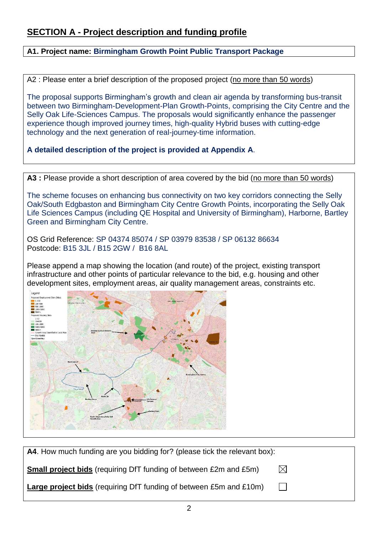### **SECTION A - Project description and funding profile**

**A1. Project name: Birmingham Growth Point Public Transport Package**

A2 : Please enter a brief description of the proposed project (no more than 50 words)

The proposal supports Birmingham's growth and clean air agenda by transforming bus-transit between two Birmingham-Development-Plan Growth-Points, comprising the City Centre and the Selly Oak Life-Sciences Campus. The proposals would significantly enhance the passenger experience though improved journey times, high-quality Hybrid buses with cutting-edge technology and the next generation of real-journey-time information.

**A detailed description of the project is provided at Appendix A**.

A3 : Please provide a short description of area covered by the bid (no more than 50 words)

The scheme focuses on enhancing bus connectivity on two key corridors connecting the Selly Oak/South Edgbaston and Birmingham City Centre Growth Points, incorporating the Selly Oak Life Sciences Campus (including QE Hospital and University of Birmingham), Harborne, Bartley Green and Birmingham City Centre.

OS Grid Reference: SP 04374 85074 / SP 03979 83538 / SP 06132 86634 Postcode: B15 3JL / B15 2GW / B16 8AL

Please append a map showing the location (and route) of the project, existing transport infrastructure and other points of particular relevance to the bid, e.g. housing and other development sites, employment areas, air quality management areas, constraints etc.

| Legend                                             |                                          |                                  |                               |
|----------------------------------------------------|------------------------------------------|----------------------------------|-------------------------------|
| Proposed Employment Sites (Jobs)                   |                                          |                                  |                               |
| 1.100                                              |                                          | <b>Toton, Nowton Lobalis AAP</b> |                               |
| Title system to an form over a<br>100-500          |                                          |                                  |                               |
| 500-1000                                           |                                          |                                  |                               |
| <b>EM 1000-5000</b>                                |                                          |                                  |                               |
| $\blacksquare$ 5000+                               |                                          |                                  |                               |
| Proposed Housing Sites                             |                                          |                                  |                               |
| $1 - 10$                                           |                                          |                                  |                               |
| 10-100                                             |                                          |                                  |                               |
| 100-1000<br>1000-5000                              |                                          |                                  |                               |
| 5000+                                              |                                          |                                  |                               |
| Growth Area Identified in Local Plan<br><b>SHO</b> | Greater Icknield Growth<br>Area          |                                  |                               |
| - Bus Routes                                       |                                          | er kilomen                       |                               |
| OpenStreetMap                                      |                                          | er-repen                         |                               |
|                                                    |                                          |                                  |                               |
|                                                    |                                          |                                  |                               |
|                                                    |                                          |                                  |                               |
|                                                    |                                          |                                  |                               |
|                                                    |                                          |                                  |                               |
|                                                    |                                          |                                  |                               |
|                                                    |                                          |                                  |                               |
| <b>Route 22/24</b>                                 |                                          |                                  |                               |
|                                                    |                                          |                                  |                               |
|                                                    |                                          |                                  |                               |
|                                                    |                                          |                                  |                               |
|                                                    |                                          |                                  | <b>Birmingham City Centre</b> |
|                                                    |                                          |                                  |                               |
|                                                    |                                          | p.                               |                               |
|                                                    |                                          |                                  |                               |
|                                                    |                                          |                                  |                               |
|                                                    |                                          |                                  |                               |
|                                                    |                                          |                                  |                               |
|                                                    | Route 29                                 |                                  |                               |
|                                                    | <b>Bartley Green</b>                     | Life Science<br>Compus           |                               |
|                                                    | SHIP 2                                   | Soft Engineer                    |                               |
|                                                    |                                          |                                  |                               |
|                                                    |                                          |                                  |                               |
|                                                    |                                          | <b>Battery Park</b>              |                               |
|                                                    |                                          |                                  |                               |
|                                                    | South Edgbaston/Selly Oak<br>Growth Area |                                  |                               |
|                                                    |                                          |                                  |                               |
|                                                    |                                          |                                  |                               |
|                                                    |                                          |                                  |                               |
|                                                    |                                          |                                  |                               |
|                                                    |                                          |                                  |                               |

| A4. How much funding are you bidding for? (please tick the relevant box): |             |
|---------------------------------------------------------------------------|-------------|
| <b>Small project bids</b> (requiring DfT funding of between £2m and £5m)  | $\boxtimes$ |
| Large project bids (requiring DfT funding of between £5m and £10m)        |             |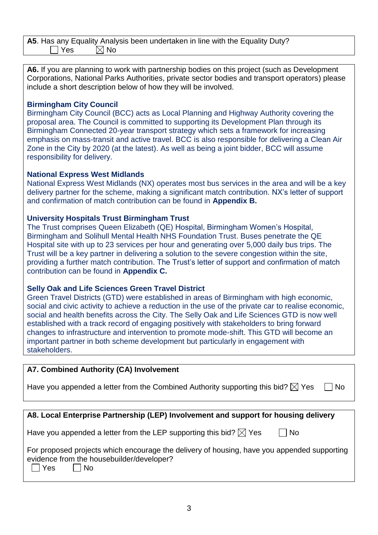**A5**. Has any Equality Analysis been undertaken in line with the Equality Duty? ]Yes ⊠ No

**A6.** If you are planning to work with partnership bodies on this project (such as Development Corporations, National Parks Authorities, private sector bodies and transport operators) please include a short description below of how they will be involved.

#### **Birmingham City Council**

Birmingham City Council (BCC) acts as Local Planning and Highway Authority covering the proposal area. The Council is committed to supporting its Development Plan through its Birmingham Connected 20-year transport strategy which sets a framework for increasing emphasis on mass-transit and active travel. BCC is also responsible for delivering a Clean Air Zone in the City by 2020 (at the latest). As well as being a joint bidder, BCC will assume responsibility for delivery.

#### **National Express West Midlands**

National Express West Midlands (NX) operates most bus services in the area and will be a key delivery partner for the scheme, making a significant match contribution. NX's letter of support and confirmation of match contribution can be found in **Appendix B.**

#### **University Hospitals Trust Birmingham Trust**

The Trust comprises Queen Elizabeth (QE) Hospital, Birmingham Women's Hospital, Birmingham and Solihull Mental Health NHS Foundation Trust. Buses penetrate the QE Hospital site with up to 23 services per hour and generating over 5,000 daily bus trips. The Trust will be a key partner in delivering a solution to the severe congestion within the site, providing a further match contribution. The Trust's letter of support and confirmation of match contribution can be found in **Appendix C.**

#### **Selly Oak and Life Sciences Green Travel District**

Green Travel Districts (GTD) were established in areas of Birmingham with high economic, social and civic activity to achieve a reduction in the use of the private car to realise economic, social and health benefits across the City. The Selly Oak and Life Sciences GTD is now well established with a track record of engaging positively with stakeholders to bring forward changes to infrastructure and intervention to promote mode-shift. This GTD will become an important partner in both scheme development but particularly in engagement with stakeholders.

#### **A7. Combined Authority (CA) Involvement**

| Have you appended a letter from the Combined Authority supporting this bid? $\boxtimes$ Yes $\Box$ No |  |  |
|-------------------------------------------------------------------------------------------------------|--|--|
|-------------------------------------------------------------------------------------------------------|--|--|

|  | ۰. |
|--|----|
|  |    |

| A8. Local Enterprise Partnership (LEP) Involvement and support for housing delivery                                                                            |
|----------------------------------------------------------------------------------------------------------------------------------------------------------------|
| Have you appended a letter from the LEP supporting this bid? $\boxtimes$ Yes<br>  No                                                                           |
| For proposed projects which encourage the delivery of housing, have you appended supporting<br>evidence from the housebuilder/developer?<br><b>Nes</b><br>l No |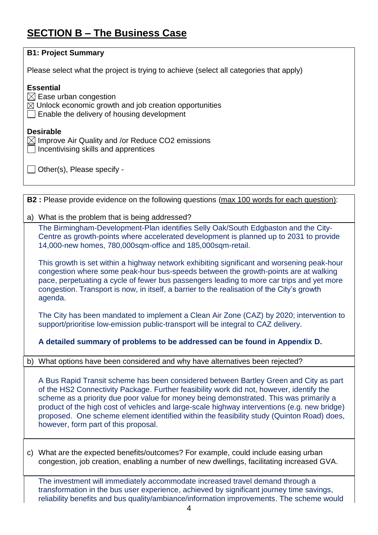## **SECTION B – The Business Case**

| <b>B1: Project Summary</b>                                                                                                                                                                                                                                                                                                                                                                                                                                                                                       |
|------------------------------------------------------------------------------------------------------------------------------------------------------------------------------------------------------------------------------------------------------------------------------------------------------------------------------------------------------------------------------------------------------------------------------------------------------------------------------------------------------------------|
| Please select what the project is trying to achieve (select all categories that apply)                                                                                                                                                                                                                                                                                                                                                                                                                           |
| <b>Essential</b><br>$\boxtimes$ Ease urban congestion<br>$\boxtimes$ Unlock economic growth and job creation opportunities<br>Enable the delivery of housing development                                                                                                                                                                                                                                                                                                                                         |
| <b>Desirable</b><br>$\boxtimes$ Improve Air Quality and /or Reduce CO2 emissions<br>Incentivising skills and apprentices                                                                                                                                                                                                                                                                                                                                                                                         |
| Other(s), Please specify -                                                                                                                                                                                                                                                                                                                                                                                                                                                                                       |
|                                                                                                                                                                                                                                                                                                                                                                                                                                                                                                                  |
| <b>B2</b> : Please provide evidence on the following questions (max 100 words for each question):                                                                                                                                                                                                                                                                                                                                                                                                                |
| a) What is the problem that is being addressed?                                                                                                                                                                                                                                                                                                                                                                                                                                                                  |
| The Birmingham-Development-Plan identifies Selly Oak/South Edgbaston and the City-<br>Centre as growth-points where accelerated development is planned up to 2031 to provide<br>14,000-new homes, 780,000sqm-office and 185,000sqm-retail.                                                                                                                                                                                                                                                                       |
| This growth is set within a highway network exhibiting significant and worsening peak-hour<br>congestion where some peak-hour bus-speeds between the growth-points are at walking<br>pace, perpetuating a cycle of fewer bus passengers leading to more car trips and yet more<br>congestion. Transport is now, in itself, a barrier to the realisation of the City's growth<br>agenda.                                                                                                                          |
| The City has been mandated to implement a Clean Air Zone (CAZ) by 2020; intervention to<br>support/prioritise low-emission public-transport will be integral to CAZ delivery.                                                                                                                                                                                                                                                                                                                                    |
| A detailed summary of problems to be addressed can be found in Appendix D.                                                                                                                                                                                                                                                                                                                                                                                                                                       |
| b) What options have been considered and why have alternatives been rejected?                                                                                                                                                                                                                                                                                                                                                                                                                                    |
| A Bus Rapid Transit scheme has been considered between Bartley Green and City as part<br>of the HS2 Connectivity Package. Further feasibility work did not, however, identify the<br>scheme as a priority due poor value for money being demonstrated. This was primarily a<br>product of the high cost of vehicles and large-scale highway interventions (e.g. new bridge)<br>proposed. One scheme element identified within the feasibility study (Quinton Road) does,<br>however, form part of this proposal. |
| c) What are the expected benefits/outcomes? For example, could include easing urban<br>congestion, job creation, enabling a number of new dwellings, facilitating increased GVA.                                                                                                                                                                                                                                                                                                                                 |
| The investment will immediately accommodate increased travel demand through a<br>transformation in the bus user experience, achieved by significant journey time savings,<br>reliability benefits and bus quality/ambiance/information improvements. The scheme would                                                                                                                                                                                                                                            |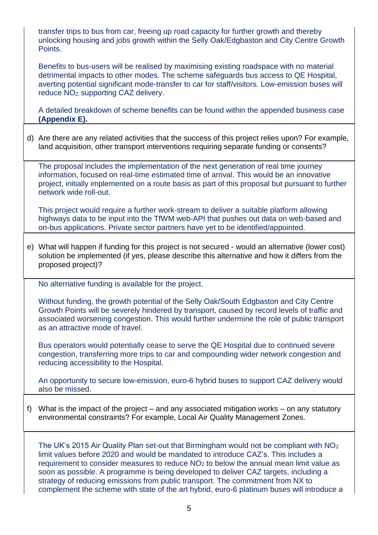transfer trips to bus from car, freeing up road capacity for further growth and thereby unlocking housing and jobs growth within the Selly Oak/Edgbaston and City Centre Growth Points.

Benefits to bus-users will be realised by maximising existing roadspace with no material detrimental impacts to other modes. The scheme safeguards bus access to QE Hospital, averting potential significant mode-transfer to car for staff/visitors. Low-emission buses will reduce NO2, supporting CAZ delivery.

A detailed breakdown of scheme benefits can be found within the appended business case **(Appendix E).**

d) Are there are any related activities that the success of this project relies upon? For example, land acquisition, other transport interventions requiring separate funding or consents?

The proposal includes the implementation of the next generation of real time journey information, focused on real-time estimated time of arrival. This would be an innovative project, initially implemented on a route basis as part of this proposal but pursuant to further network wide roll-out.

This project would require a further work-stream to deliver a suitable platform allowing highways data to be input into the TfWM web-API that pushes out data on web-based and on-bus applications. Private sector partners have yet to be identified/appointed.

e) What will happen if funding for this project is not secured - would an alternative (lower cost) solution be implemented (if yes, please describe this alternative and how it differs from the proposed project)?

No alternative funding is available for the project.

Without funding, the growth potential of the Selly Oak/South Edgbaston and City Centre Growth Points will be severely hindered by transport, caused by record levels of traffic and associated worsening congestion. This would further undermine the role of public transport as an attractive mode of travel.

Bus operators would potentially cease to serve the QE Hospital due to continued severe congestion, transferring more trips to car and compounding wider network congestion and reducing accessibility to the Hospital.

An opportunity to secure low-emission, euro-6 hybrid buses to support CAZ delivery would also be missed.

f) What is the impact of the project – and any associated mitigation works – on any statutory environmental constraints? For example, Local Air Quality Management Zones.

The UK's 2015 Air Quality Plan set-out that Birmingham would not be compliant with NO<sup>2</sup> limit values before 2020 and would be mandated to introduce CAZ's. This includes a requirement to consider measures to reduce NO<sub>2</sub> to below the annual mean limit value as soon as possible. A programme is being developed to deliver CAZ targets, including a strategy of reducing emissions from public transport. The commitment from NX to complement the scheme with state of the art hybrid, euro-6 platinum buses will introduce a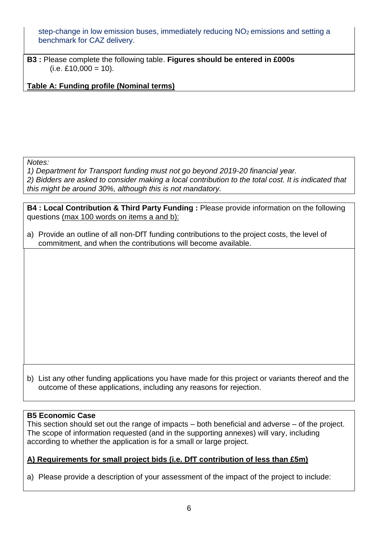step-change in low emission buses, immediately reducing NO<sub>2</sub> emissions and setting a benchmark for CAZ delivery.

**B3 :** Please complete the following table. **Figures should be entered in £000s**  $(i.e. £10,000 = 10).$ 

**Table A: Funding profile (Nominal terms)**

*Notes:*

*1) Department for Transport funding must not go beyond 2019-20 financial year. 2) Bidders are asked to consider making a local contribution to the total cost. It is indicated that this might be around 30%, although this is not mandatory.*

**B4 : Local Contribution & Third Party Funding :** Please provide information on the following questions (max 100 words on items a and b):

a) Provide an outline of all non-DfT funding contributions to the project costs, the level of commitment, and when the contributions will become available.

b) List any other funding applications you have made for this project or variants thereof and the outcome of these applications, including any reasons for rejection.

#### **B5 Economic Case**

This section should set out the range of impacts – both beneficial and adverse – of the project. The scope of information requested (and in the supporting annexes) will vary, including according to whether the application is for a small or large project.

#### **A) Requirements for small project bids (i.e. DfT contribution of less than £5m)**

a) Please provide a description of your assessment of the impact of the project to include: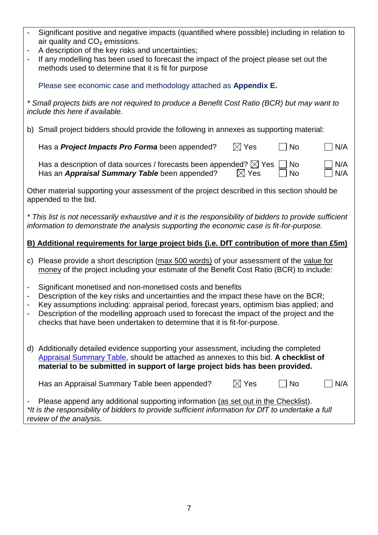|                                                                                                                                                                                                                     | Significant positive and negative impacts (quantified where possible) including in relation to<br>air quality and CO <sub>2</sub> emissions.<br>A description of the key risks and uncertainties;<br>If any modelling has been used to forecast the impact of the project please set out the<br>methods used to determine that it is fit for purpose                                                                   |  |  |  |  |
|---------------------------------------------------------------------------------------------------------------------------------------------------------------------------------------------------------------------|------------------------------------------------------------------------------------------------------------------------------------------------------------------------------------------------------------------------------------------------------------------------------------------------------------------------------------------------------------------------------------------------------------------------|--|--|--|--|
|                                                                                                                                                                                                                     | Please see economic case and methodology attached as Appendix E.                                                                                                                                                                                                                                                                                                                                                       |  |  |  |  |
|                                                                                                                                                                                                                     | * Small projects bids are not required to produce a Benefit Cost Ratio (BCR) but may want to<br>include this here if available.                                                                                                                                                                                                                                                                                        |  |  |  |  |
|                                                                                                                                                                                                                     | b) Small project bidders should provide the following in annexes as supporting material:                                                                                                                                                                                                                                                                                                                               |  |  |  |  |
|                                                                                                                                                                                                                     | $\boxtimes$ Yes<br>Has a <b>Project Impacts Pro Forma</b> been appended?<br><b>No</b><br>N/A                                                                                                                                                                                                                                                                                                                           |  |  |  |  |
|                                                                                                                                                                                                                     | Has a description of data sources / forecasts been appended? $\boxtimes$ Yes<br>N/A<br>No<br>Has an Appraisal Summary Table been appended?<br>$\boxtimes$ Yes<br><b>No</b><br>N/A                                                                                                                                                                                                                                      |  |  |  |  |
|                                                                                                                                                                                                                     | Other material supporting your assessment of the project described in this section should be<br>appended to the bid.                                                                                                                                                                                                                                                                                                   |  |  |  |  |
| * This list is not necessarily exhaustive and it is the responsibility of bidders to provide sufficient<br>information to demonstrate the analysis supporting the economic case is fit-for-purpose.                 |                                                                                                                                                                                                                                                                                                                                                                                                                        |  |  |  |  |
| B) Additional requirements for large project bids (i.e. DfT contribution of more than £5m)                                                                                                                          |                                                                                                                                                                                                                                                                                                                                                                                                                        |  |  |  |  |
|                                                                                                                                                                                                                     | c) Please provide a short description (max 500 words) of your assessment of the value for<br>money of the project including your estimate of the Benefit Cost Ratio (BCR) to include:                                                                                                                                                                                                                                  |  |  |  |  |
| -                                                                                                                                                                                                                   | Significant monetised and non-monetised costs and benefits<br>Description of the key risks and uncertainties and the impact these have on the BCR;<br>Key assumptions including: appraisal period, forecast years, optimism bias applied; and<br>Description of the modelling approach used to forecast the impact of the project and the<br>checks that have been undertaken to determine that it is fit-for-purpose. |  |  |  |  |
|                                                                                                                                                                                                                     | d) Additionally detailed evidence supporting your assessment, including the completed<br>Appraisal Summary Table, should be attached as annexes to this bid. A checklist of<br>material to be submitted in support of large project bids has been provided.                                                                                                                                                            |  |  |  |  |
|                                                                                                                                                                                                                     | $\boxtimes$ Yes<br>Has an Appraisal Summary Table been appended?<br><b>No</b><br>N/A                                                                                                                                                                                                                                                                                                                                   |  |  |  |  |
| Please append any additional supporting information (as set out in the Checklist).<br>*It is the responsibility of bidders to provide sufficient information for DfT to undertake a full<br>review of the analysis. |                                                                                                                                                                                                                                                                                                                                                                                                                        |  |  |  |  |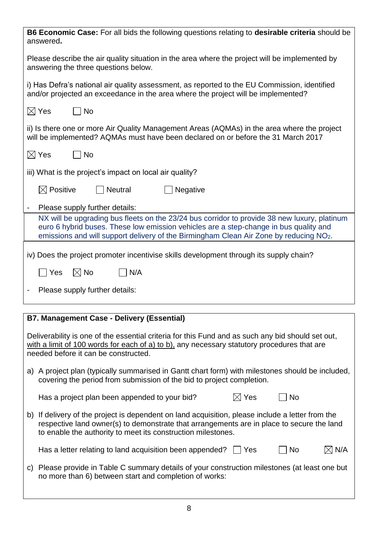| <b>B6 Economic Case:</b> For all bids the following questions relating to <b>desirable criteria</b> should be<br>answered.                                                                                                                                                                  |
|---------------------------------------------------------------------------------------------------------------------------------------------------------------------------------------------------------------------------------------------------------------------------------------------|
| Please describe the air quality situation in the area where the project will be implemented by<br>answering the three questions below.                                                                                                                                                      |
| i) Has Defra's national air quality assessment, as reported to the EU Commission, identified<br>and/or projected an exceedance in the area where the project will be implemented?                                                                                                           |
| $\boxtimes$ Yes<br>$\Box$ No                                                                                                                                                                                                                                                                |
| ii) Is there one or more Air Quality Management Areas (AQMAs) in the area where the project<br>will be implemented? AQMAs must have been declared on or before the 31 March 2017                                                                                                            |
| $\boxtimes$ Yes<br>$ $ No                                                                                                                                                                                                                                                                   |
| iii) What is the project's impact on local air quality?                                                                                                                                                                                                                                     |
| $\boxtimes$ Positive<br><b>Neutral</b><br>Negative                                                                                                                                                                                                                                          |
| Please supply further details:                                                                                                                                                                                                                                                              |
| NX will be upgrading bus fleets on the 23/24 bus corridor to provide 38 new luxury, platinum<br>euro 6 hybrid buses. These low emission vehicles are a step-change in bus quality and<br>emissions and will support delivery of the Birmingham Clean Air Zone by reducing NO <sub>2</sub> . |
| iv) Does the project promoter incentivise skills development through its supply chain?                                                                                                                                                                                                      |
| $\boxtimes$ No<br>N/A<br>Yes                                                                                                                                                                                                                                                                |
| Please supply further details:                                                                                                                                                                                                                                                              |
|                                                                                                                                                                                                                                                                                             |
| <b>B7. Management Case - Delivery (Essential)</b>                                                                                                                                                                                                                                           |
| Deliverability is one of the essential criteria for this Fund and as such any bid should set out,<br>with a limit of 100 words for each of a) to b), any necessary statutory procedures that are<br>needed before it can be constructed.                                                    |
| a) A project plan (typically summarised in Gantt chart form) with milestones should be included,<br>covering the period from submission of the bid to project completion.                                                                                                                   |
| $\boxtimes$ Yes<br>Has a project plan been appended to your bid?<br><b>No</b>                                                                                                                                                                                                               |
| b) If delivery of the project is dependent on land acquisition, please include a letter from the<br>respective land owner(s) to demonstrate that arrangements are in place to secure the land<br>to enable the authority to meet its construction milestones.                               |
| Has a letter relating to land acquisition been appended? $\Box$ Yes<br>No<br>$\boxtimes$ N/A                                                                                                                                                                                                |
| c) Please provide in Table C summary details of your construction milestones (at least one but<br>no more than 6) between start and completion of works:                                                                                                                                    |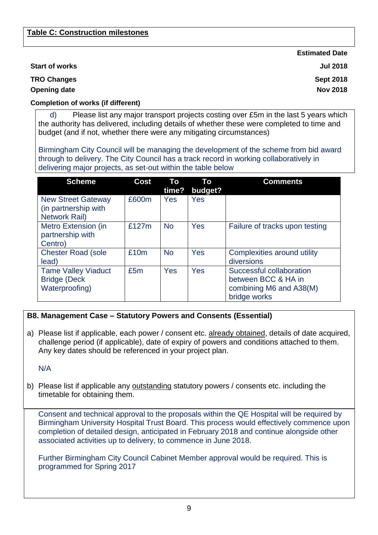**Estimated Date**

**Sept 2018 Nov 2018**

#### **Start of works Jul 2018**

**TRO Changes** 

**Opening date**

#### **Completion of works (if different)**

d) Please list any major transport projects costing over £5m in the last 5 years which the authority has delivered, including details of whether these were completed to time and budget (and if not, whether there were any mitigating circumstances)

Birmingham City Council will be managing the development of the scheme from bid award through to delivery. The City Council has a track record in working collaboratively in delivering major projects, as set-out within the table below

| <b>Scheme</b>                                                               | <b>Cost</b> | Τo<br>time? | Τo<br>budget? | <b>Comments</b>                                                                            |
|-----------------------------------------------------------------------------|-------------|-------------|---------------|--------------------------------------------------------------------------------------------|
| <b>New Street Gateway</b><br>(in partnership with<br><b>Network Rail)</b>   | £600m       | Yes         | <b>Yes</b>    |                                                                                            |
| Metro Extension (in<br>partnership with<br>Centro)                          | £127m       | <b>No</b>   | Yes           | Failure of tracks upon testing                                                             |
| <b>Chester Road (sole</b><br>lead)                                          | £10m        | <b>No</b>   | Yes           | Complexities around utility<br>diversions                                                  |
| <b>Tame Valley Viaduct</b><br><b>Bridge (Deck</b><br><b>Waterproofing</b> ) | £5m         | Yes         | Yes           | Successful collaboration<br>between BCC & HA in<br>combining M6 and A38(M)<br>bridge works |

#### **B8. Management Case – Statutory Powers and Consents (Essential)**

a) Please list if applicable, each power / consent etc. already obtained, details of date acquired, challenge period (if applicable), date of expiry of powers and conditions attached to them. Any key dates should be referenced in your project plan.

#### N/A

b) Please list if applicable any outstanding statutory powers / consents etc. including the timetable for obtaining them.

Consent and technical approval to the proposals within the QE Hospital will be required by Birmingham University Hospital Trust Board. This process would effectively commence upon completion of detailed design, anticipated in February 2018 and continue alongside other associated activities up to delivery, to commence in June 2018.

Further Birmingham City Council Cabinet Member approval would be required. This is programmed for Spring 2017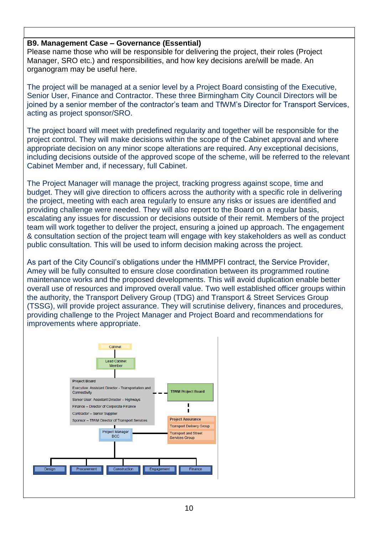#### **B9. Management Case – Governance (Essential)**

Please name those who will be responsible for delivering the project, their roles (Project Manager, SRO etc.) and responsibilities, and how key decisions are/will be made. An organogram may be useful here.

The project will be managed at a senior level by a Project Board consisting of the Executive, Senior User, Finance and Contractor. These three Birmingham City Council Directors will be joined by a senior member of the contractor's team and TfWM's Director for Transport Services, acting as project sponsor/SRO.

The project board will meet with predefined regularity and together will be responsible for the project control. They will make decisions within the scope of the Cabinet approval and where appropriate decision on any minor scope alterations are required. Any exceptional decisions, including decisions outside of the approved scope of the scheme, will be referred to the relevant Cabinet Member and, if necessary, full Cabinet.

The Project Manager will manage the project, tracking progress against scope, time and budget. They will give direction to officers across the authority with a specific role in delivering the project, meeting with each area regularly to ensure any risks or issues are identified and providing challenge were needed. They will also report to the Board on a regular basis, escalating any issues for discussion or decisions outside of their remit. Members of the project team will work together to deliver the project, ensuring a joined up approach. The engagement & consultation section of the project team will engage with key stakeholders as well as conduct public consultation. This will be used to inform decision making across the project.

As part of the City Council's obligations under the HMMPFI contract, the Service Provider, Amey will be fully consulted to ensure close coordination between its programmed routine maintenance works and the proposed developments. This will avoid duplication enable better overall use of resources and improved overall value. Two well established officer groups within the authority, the Transport Delivery Group (TDG) and Transport & Street Services Group (TSSG), will provide project assurance. They will scrutinise delivery, finances and procedures, providing challenge to the Project Manager and Project Board and recommendations for improvements where appropriate.

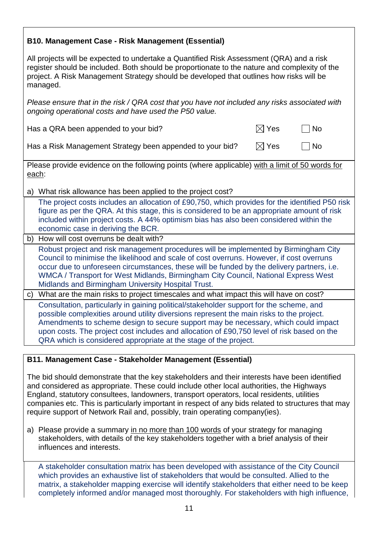| <b>B10. Management Case - Risk Management (Essential)</b>                                                                                                                                                                                                                                                                                                                                                                                   |                 |           |  |  |
|---------------------------------------------------------------------------------------------------------------------------------------------------------------------------------------------------------------------------------------------------------------------------------------------------------------------------------------------------------------------------------------------------------------------------------------------|-----------------|-----------|--|--|
| All projects will be expected to undertake a Quantified Risk Assessment (QRA) and a risk<br>register should be included. Both should be proportionate to the nature and complexity of the<br>project. A Risk Management Strategy should be developed that outlines how risks will be<br>managed.                                                                                                                                            |                 |           |  |  |
| Please ensure that in the risk / QRA cost that you have not included any risks associated with<br>ongoing operational costs and have used the P50 value.                                                                                                                                                                                                                                                                                    |                 |           |  |  |
| Has a QRA been appended to your bid?                                                                                                                                                                                                                                                                                                                                                                                                        | $\boxtimes$ Yes | <b>No</b> |  |  |
| Has a Risk Management Strategy been appended to your bid?                                                                                                                                                                                                                                                                                                                                                                                   | $\boxtimes$ Yes | <b>No</b> |  |  |
| Please provide evidence on the following points (where applicable) with a limit of 50 words for<br>each:                                                                                                                                                                                                                                                                                                                                    |                 |           |  |  |
| a) What risk allowance has been applied to the project cost?                                                                                                                                                                                                                                                                                                                                                                                |                 |           |  |  |
| The project costs includes an allocation of £90,750, which provides for the identified P50 risk<br>figure as per the QRA. At this stage, this is considered to be an appropriate amount of risk<br>included within project costs. A 44% optimism bias has also been considered within the<br>economic case in deriving the BCR.                                                                                                             |                 |           |  |  |
| b) How will cost overruns be dealt with?                                                                                                                                                                                                                                                                                                                                                                                                    |                 |           |  |  |
| Robust project and risk management procedures will be implemented by Birmingham City<br>Council to minimise the likelihood and scale of cost overruns. However, if cost overruns<br>occur due to unforeseen circumstances, these will be funded by the delivery partners, i.e.<br>WMCA / Transport for West Midlands, Birmingham City Council, National Express West<br>Midlands and Birmingham University Hospital Trust.                  |                 |           |  |  |
| What are the main risks to project timescales and what impact this will have on cost?<br>$\mathsf{C}$                                                                                                                                                                                                                                                                                                                                       |                 |           |  |  |
| Consultation, particularly in gaining political/stakeholder support for the scheme, and<br>possible complexities around utility diversions represent the main risks to the project.<br>Amendments to scheme design to secure support may be necessary, which could impact<br>upon costs. The project cost includes and allocation of £90,750 level of risk based on the<br>QRA which is considered appropriate at the stage of the project. |                 |           |  |  |

#### **B11. Management Case - Stakeholder Management (Essential)**

The bid should demonstrate that the key stakeholders and their interests have been identified and considered as appropriate. These could include other local authorities, the Highways England, statutory consultees, landowners, transport operators, local residents, utilities companies etc. This is particularly important in respect of any bids related to structures that may require support of Network Rail and, possibly, train operating company(ies).

a) Please provide a summary in no more than 100 words of your strategy for managing stakeholders, with details of the key stakeholders together with a brief analysis of their influences and interests.

A stakeholder consultation matrix has been developed with assistance of the City Council which provides an exhaustive list of stakeholders that would be consulted. Allied to the matrix, a stakeholder mapping exercise will identify stakeholders that either need to be keep completely informed and/or managed most thoroughly. For stakeholders with high influence,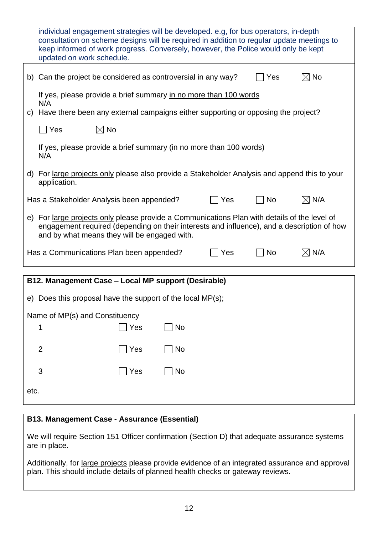|                                                                                                                                                                                                                                            | individual engagement strategies will be developed. e.g, for bus operators, in-depth<br>consultation on scheme designs will be required in addition to regular update meetings to<br>keep informed of work progress. Conversely, however, the Police would only be kept<br>updated on work schedule. |  |  |  |  |
|--------------------------------------------------------------------------------------------------------------------------------------------------------------------------------------------------------------------------------------------|------------------------------------------------------------------------------------------------------------------------------------------------------------------------------------------------------------------------------------------------------------------------------------------------------|--|--|--|--|
|                                                                                                                                                                                                                                            | b) Can the project be considered as controversial in any way?<br>$\boxtimes$ No<br>Yes                                                                                                                                                                                                               |  |  |  |  |
|                                                                                                                                                                                                                                            | If yes, please provide a brief summary in no more than 100 words<br>N/A                                                                                                                                                                                                                              |  |  |  |  |
|                                                                                                                                                                                                                                            | c) Have there been any external campaigns either supporting or opposing the project?                                                                                                                                                                                                                 |  |  |  |  |
|                                                                                                                                                                                                                                            | $\boxtimes$ No<br>Yes                                                                                                                                                                                                                                                                                |  |  |  |  |
|                                                                                                                                                                                                                                            | If yes, please provide a brief summary (in no more than 100 words)<br>N/A                                                                                                                                                                                                                            |  |  |  |  |
|                                                                                                                                                                                                                                            | d) For large projects only please also provide a Stakeholder Analysis and append this to your<br>application.                                                                                                                                                                                        |  |  |  |  |
| $\boxtimes$ N/A<br>Has a Stakeholder Analysis been appended?<br><b>No</b><br>Yes                                                                                                                                                           |                                                                                                                                                                                                                                                                                                      |  |  |  |  |
| e) For large projects only please provide a Communications Plan with details of the level of<br>engagement required (depending on their interests and influence), and a description of how<br>and by what means they will be engaged with. |                                                                                                                                                                                                                                                                                                      |  |  |  |  |
|                                                                                                                                                                                                                                            | $\boxtimes$ N/A<br>Has a Communications Plan been appended?<br><b>No</b><br>Yes                                                                                                                                                                                                                      |  |  |  |  |
| B12. Management Case - Local MP support (Desirable)                                                                                                                                                                                        |                                                                                                                                                                                                                                                                                                      |  |  |  |  |
| e) Does this proposal have the support of the local MP(s);                                                                                                                                                                                 |                                                                                                                                                                                                                                                                                                      |  |  |  |  |
| Name of MP(s) and Constituency                                                                                                                                                                                                             |                                                                                                                                                                                                                                                                                                      |  |  |  |  |
|                                                                                                                                                                                                                                            | ] Yes<br>No<br>1                                                                                                                                                                                                                                                                                     |  |  |  |  |
|                                                                                                                                                                                                                                            | Yes<br>$\overline{2}$<br>No                                                                                                                                                                                                                                                                          |  |  |  |  |
|                                                                                                                                                                                                                                            | 3<br>Yes<br><b>No</b>                                                                                                                                                                                                                                                                                |  |  |  |  |
| etc.                                                                                                                                                                                                                                       |                                                                                                                                                                                                                                                                                                      |  |  |  |  |

## **B13. Management Case - Assurance (Essential)**

We will require Section 151 Officer confirmation (Section D) that adequate assurance systems are in place.

Additionally, for large projects please provide evidence of an integrated assurance and approval plan. This should include details of planned health checks or gateway reviews.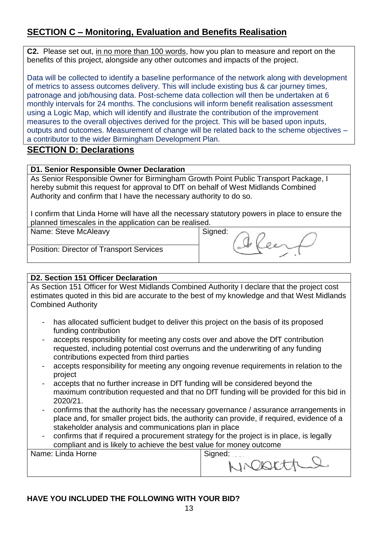## **SECTION C – Monitoring, Evaluation and Benefits Realisation**

**C2.** Please set out, in no more than 100 words, how you plan to measure and report on the benefits of this project, alongside any other outcomes and impacts of the project.

Data will be collected to identify a baseline performance of the network along with development of metrics to assess outcomes delivery. This will include existing bus & car journey times, patronage and job/housing data. Post-scheme data collection will then be undertaken at 6 monthly intervals for 24 months. The conclusions will inform benefit realisation assessment using a Logic Map, which will identify and illustrate the contribution of the improvement measures to the overall objectives derived for the project. This will be based upon inputs, outputs and outcomes. Measurement of change will be related back to the scheme objectives – a contributor to the wider Birmingham Development Plan.

### **SECTION D: Declarations**

#### **D1. Senior Responsible Owner Declaration**

As Senior Responsible Owner for Birmingham Growth Point Public Transport Package, I hereby submit this request for approval to DfT on behalf of West Midlands Combined Authority and confirm that I have the necessary authority to do so.

I confirm that Linda Horne will have all the necessary statutory powers in place to ensure the planned timescales in the application can be realised.

| Name: Steve McAleavy |  |  |  |
|----------------------|--|--|--|
|----------------------|--|--|--|

Signed:

Position: Director of Transport Services

## **D2. Section 151 Officer Declaration**

As Section 151 Officer for West Midlands Combined Authority I declare that the project cost estimates quoted in this bid are accurate to the best of my knowledge and that West Midlands Combined Authority

- has allocated sufficient budget to deliver this project on the basis of its proposed funding contribution
- accepts responsibility for meeting any costs over and above the DfT contribution requested, including potential cost overruns and the underwriting of any funding contributions expected from third parties
- accepts responsibility for meeting any ongoing revenue requirements in relation to the project
- accepts that no further increase in DfT funding will be considered beyond the maximum contribution requested and that no DfT funding will be provided for this bid in 2020/21.
- confirms that the authority has the necessary governance / assurance arrangements in place and, for smaller project bids, the authority can provide, if required, evidence of a stakeholder analysis and communications plan in place
- confirms that if required a procurement strategy for the project is in place, is legally compliant and is likely to achieve the best value for money outcome

| Name: Linda Horne | Signed:    |
|-------------------|------------|
|                   | NICORETTLE |
|                   |            |
|                   |            |

#### **HAVE YOU INCLUDED THE FOLLOWING WITH YOUR BID?**